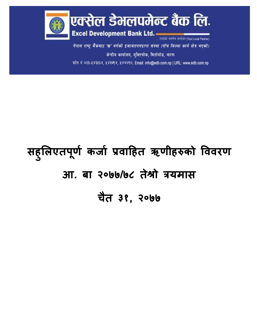

नेपाल राष्ट्र बैंकबाट 'ख' वर्गको इजाजतपत्रप्राप्त संस्था (पाँच जिल्ला कार्य क्षेत्र भएको) केन्द्रीय कार्यालय, मुक्तिचोक, बिर्तामोड, फ़ापा फोन नं ०२३-१४३१६४, १४३७१४, १४४०१०, Email: info@edb.com.np | URL: www.edb.com.np

# **सह ु लिएतप ू र्ण कर्जण प्रवजहहत ऋर्ीहरुको वववरर् आ. बज २०७७/७८ तेश्रो त्रयमजस चैत ३१, २०७७**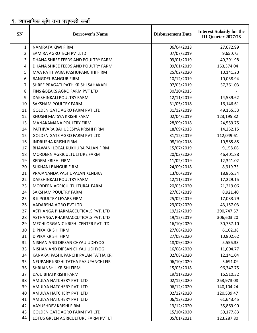### <u>१. व्यवसायिक कृषि तथा पशुपन्छी कर्जा</u>

| <b>SN</b>    | <b>Borrower's Name</b>               | <b>Disbursement Date</b> | <b>Interest Subsidy for the</b><br><b>III Quarter 2077/78</b> |
|--------------|--------------------------------------|--------------------------|---------------------------------------------------------------|
| $\mathbf{1}$ | NAMRATA KIWI FIRM                    | 06/04/2018               | 27,072.99                                                     |
| 2            | SAMIRA AGROTECH PVT.LTD              | 07/07/2019               | 9,650.75                                                      |
| 3            | DHANA SHREE FEEDS AND POULTRY FARM   | 09/01/2019               | 49,291.98                                                     |
| 4            | DHANA SHREE FEEDS AND POULTRY FARM   | 09/01/2019               | 153,374.04                                                    |
| 5            | MAA PATHIVARA PASHUPANCHHI FIRM      | 25/02/2020               | 10,141.20                                                     |
| 6            | <b>BANGDEL BANGUR FIRM</b>           | 10/12/2019               | 10,038.94                                                     |
| 7            | SHREE PRAGATI PATH KRISHI SAHAKARI   | 07/03/2019               | 57,361.03                                                     |
| 8            | FINS & BEAKS AGRO FARM PVT LTD       | 30/10/2015               |                                                               |
| 9            | DAKSHINKALI POULTRY FARM             | 12/11/2019               | 14,539.62                                                     |
| 10           | SAKSHAM POULTRY FARM                 | 31/05/2018               | 16,146.61                                                     |
| 11           | <b>GOLDEN GATE AGRO FARM PVT.LTD</b> | 31/12/2019               | 49,155.53                                                     |
| 12           | KHUSHI MATSYA KRISHI FARM            | 02/04/2019               | 123,195.82                                                    |
| 13           | <b>MANAKAMANA POULTRY FIRM</b>       | 28/09/2018               | 24,559.75                                                     |
| 14           | PATHIVARA BAHUDESIYA KRISHI FIRM     | 18/09/2018               | 14,252.15                                                     |
| 15           | <b>GOLDEN GATE AGRO FARM PVT.LTD</b> | 31/12/2019               | 112,049.61                                                    |
| 16           | <b>INDRUSHA KRISHI FIRM</b>          | 08/10/2018               | 10,585.85                                                     |
| 17           | BHAWANI LOCAL KUKHURA PALAN FIRM     | 15/07/2019               | 9,158.06                                                      |
| 18           | MORDERN AGRICULTULTURE FARM          | 20/03/2020               | 46,401.88                                                     |
| 19           | <b>KEDEM KRISHI FIRM</b>             | 11/02/2019               | 12,341.02                                                     |
| 20           | <b>SUKHANI BANGUR FIRM</b>           | 24/09/2018               | 8,919.75                                                      |
| 21           | PRAJANANDA PASHUPALAN KENDRA         | 13/06/2019               | 18,855.34                                                     |
| 22           | DAKSHINKALI POULTRY FARM             | 12/11/2019               | 17,229.15                                                     |
| 23           | MORDERN AGRICULTULTURAL FARM         | 20/03/2020               | 21,219.06                                                     |
| 24           | SAKSHAM POULTRY FARM                 | 27/03/2019               | 8,921.40                                                      |
| 25           | R K POULTRY LEYARS FIRM              | 25/02/2019               | 17,033.79                                                     |
| 26           | AADARSHA AGRO PVT LTD                | 29/07/2020               | 43,157.03                                                     |
| 27           | ASTHANGA PHARMACCUTICALS PVT. LTD    | 19/12/2019               | 290,747.57                                                    |
| 28           | ASTHANGA PHARMACCUTICALS PVT. LTD    | 19/12/2019               | 306,603.20                                                    |
| 29           | MECHI ORGANIC KRISHI CENTER PVT LTD  | 16/10/2020               | 30,757.10                                                     |
| 30           | DIPIKA KRISHI FIRM                   | 27/08/2020               | 6,102.38                                                      |
| 31           | DIPIKA KRISHI FIRM                   | 27/08/2020               | 10,802.62                                                     |
| 32           | NISHAN AND DIPSAN CHYAU UDHYOG       | 18/09/2020               | 5,556.33                                                      |
| 33           | NISHAN AND DIPSAN CHYAU UDHYOG       | 16/08/2020               | 11,004.77                                                     |
| 34           | KANAKAI PASHUPANCHI PALAN TATHA KRI  | 02/08/2020               | 12,141.04                                                     |
| 35           | NEUPANE KRISHI TATHA PASUPANCHI FIR  | 06/10/2020               | 5,691.09                                                      |
| 36           | SHRIJANSHIL KRISHI FIRM              | 15/03/2018               | 96,347.75                                                     |
| 37           | DAJU BHAI KRISHI FARM                | 19/11/2020               | 16,510.32                                                     |
| 38           | AMULYA HATCHERY PVT. LTD             | 02/12/2020               | 253,973.08                                                    |
| 39           | AMULYA HATCHERY PVT. LTD             | 06/12/2020               | 140,104.24                                                    |
| 40           | AMULYA HATCHERY PVT. LTD             | 02/12/2020               | 120,539.47                                                    |
| 41           | AMULYA HATCHERY PVT. LTD             | 06/12/2020               | 61,643.45                                                     |
| 42           | AAYUSHDEV KRISHI FIRM                | 13/12/2020               | 35,869.90                                                     |
| 43           | <b>GOLDEN GATE AGRO FARM PVT.LTD</b> | 15/10/2020               | 59,177.83                                                     |
| 44           | LOTUS GREEN AGRICULTURE FARM PVT LT  | 05/01/2021               | 123,287.80                                                    |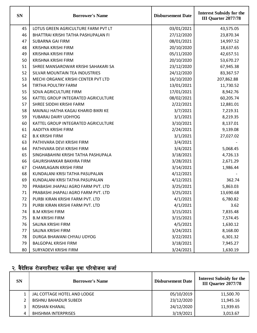| <b>SN</b> | <b>Borrower's Name</b>              | <b>Disbursement Date</b> | <b>Interest Subsidy for the</b><br><b>III Quarter 2077/78</b> |
|-----------|-------------------------------------|--------------------------|---------------------------------------------------------------|
| 45        | LOTUS GREEN AGRICULTURE FARM PVT LT | 03/01/2021               | 43,575.05                                                     |
| 46        | BHATTRAI KRISHI TATHA PASHUPALAN FI | 27/12/2020               | 23,870.34                                                     |
| 47        | <b>SUBARNA GAI FIRM</b>             | 08/01/2021               | 14,997.52                                                     |
| 48        | <b>KRISHNA KRISHI FIRM</b>          | 20/10/2020               | 18,637.65                                                     |
| 49        | <b>KRISHNA KRISHI FIRM</b>          | 05/11/2020               | 42,657.51                                                     |
| 50        | KRISHNA KRISHI FIRM                 | 20/10/2020               | 53,670.27                                                     |
| 51        | SHREE MANSAROWAR KRISHI SAHAKARI SA | 23/12/2020               | 67,945.38                                                     |
| 52        | SILVAR MOUNTAIN TEA INDUSTRIES      | 24/12/2020               | 83,367.57                                                     |
| 53        | MECHI ORGANIC KRISHI CENTER PVT LTD | 16/10/2020               | 207,862.88                                                    |
| 54        | TIRTHA POULTRY FARM                 | 13/01/2021               | 11,730.52                                                     |
| 55        | SOVA AGRICULTURE FIRM               | 17/01/2021               | 8,942.76                                                      |
| 56        | KATTEL GROUP INTEGRATED AGRICULTURE | 08/02/2021               | 60,205.74                                                     |
| 57        | SHREE SIDDHI KRISHI FARM            | 2/22/2021                | 12,881.01                                                     |
| 58        | MAINALI HATHA KAGAJ KHARID BIKRI KE | 3/7/2021                 | 7,219.31                                                      |
| 59        | YUBARAJ DAIRY UDHYOG                | 3/1/2021                 | 8,219.35                                                      |
| 60        | KATTEL GROUP INTEGRATED AGRICULTURE | 3/10/2021                | 8,137.01                                                      |
| 61        | AADITYA KRISHI FIRM                 | 2/24/2021                | 9,139.08                                                      |
| 62        | <b>B.K KRISHI FIRM</b>              | 3/1/2021                 | 27,027.02                                                     |
| 63        | PATHIVARA DEVI KRISHI FIRM          | 3/4/2021                 |                                                               |
| 64        | PATHIVARA DEVI KRISHI FIRM          | 3/4/2021                 | 5,068.45                                                      |
| 65        | SINGHABAHINI KRISHI TATHA PASHUPALA | 3/18/2021                | 4,726.13                                                      |
| 66        | <b>GAURISHANKAR BAKHRA FIRM</b>     | 3/28/2021                | 2,671.29                                                      |
| 67        | CHAMLAGAIN KRISHI FIRM              | 3/14/2021                | 1,986.44                                                      |
| 68        | KUNDALANI KRISI TATHA PASUPALAN     | 4/12/2021                |                                                               |
| 69        | KUNDALANI KRISI TATHA PASUPALAN     | 4/12/2021                | 362.74                                                        |
| 70        | PRABASHI JHAPALI AGRO FARM PVT. LTD | 3/25/2021                | 5,863.03                                                      |
| 71        | PRABASHI JHAPALI AGRO FARM PVT. LTD | 3/25/2021                | 13,690.68                                                     |
| 72        | PURBI KIRAN KRISHI FARM PVT. LTD    | 4/1/2021                 | 6,780.82                                                      |
| 73        | PURBI KIRAN KRISHI FARM PVT. LTD    | 4/1/2021                 | 3.62                                                          |
| 74        | <b>B.M KRISHI FIRM</b>              | 3/15/2021                | 7,835.48                                                      |
| 75        | <b>B.M KRISHI FIRM</b>              | 3/15/2021                | 7,574.45                                                      |
| 76        | SALINA KRISHI FIRM                  | 4/5/2021                 | 1,630.12                                                      |
| 77        | SALINA KRISHI FIRM                  | 3/24/2021                | 8,168.00                                                      |
| 78        | DURGA BHAWANI CHYAU UDYOG           | 3/22/2021                | 6,301.32                                                      |
| 79        | <b>BALGOPAL KRISHI FIRM</b>         | 3/18/2021                | 7,945.27                                                      |
| 80        | SURYADEVI KRISHI FIRM               | 3/24/2021                | 1,630.19                                                      |

# <u>२. वैदेशिक रोजगारीबाट फर्केका युवा परियोजना कर्जा</u>

| <b>SN</b> | <b>Borrower's Name</b>       | <b>Disbursement Date</b> | <b>Interest Subsidy for the</b><br><b>III Quarter 2077/78</b> |
|-----------|------------------------------|--------------------------|---------------------------------------------------------------|
|           | JAL COTTAGE HOTEL AND LODGE  | 05/10/2019               | 11,500.70                                                     |
|           | <b>BISHNU BAHADUR SUBEDI</b> | 23/12/2020               | 11,945.16                                                     |
|           | <b>ROSHAN KHANAL</b>         | 24/12/2020               | 11,939.65                                                     |
| 4         | <b>BHISHMA INTERPRISES</b>   | 3/19/2021                | 3,013.67                                                      |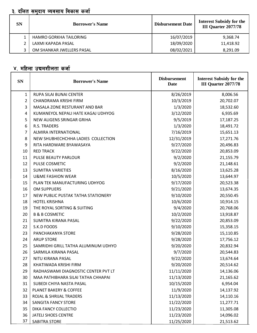### <u>३. दलित समुदाय व्यवसाय विकास कर्जा</u>

| <b>SN</b> | <b>Borrower's Name</b>    | <b>Disbursement Date</b> | <b>Interest Subsidy for the</b><br><b>III Quarter 2077/78</b> |
|-----------|---------------------------|--------------------------|---------------------------------------------------------------|
|           | HAMRO GORKHA TAILORING    | 16/07/2019               | 9,368.74                                                      |
|           | LAXMI KAPADA PASAL        | 18/09/2020               | 11,418.92                                                     |
|           | OM SHANKAR JWELLERS PASAL | 08/02/2021               | 8,291.09                                                      |

# <u>े४. महिला उचमशीलता कर्जा</u>

| <b>SN</b>      | <b>Borrower's Name</b>              | <b>Disbursement</b><br><b>Date</b> | <b>Interest Subsidy for the</b><br><b>III Quarter 2077/78</b> |
|----------------|-------------------------------------|------------------------------------|---------------------------------------------------------------|
| 1              | RUPA SILAI BUNAI CENTER             | 8/26/2019                          | 8,006.56                                                      |
| $\overline{2}$ | CHANDRAMA KRISHI FIRM               | 10/3/2019                          | 20,702.07                                                     |
| 3              | MASALA ZONE RESTURANT AND BAR       | 1/3/2020                           | 18,532.60                                                     |
| 4              | KUMANEYOL NEPALI HATE KAGAJ UDHYOG  | 3/12/2020                          | 6,935.69                                                      |
| 5              | <b>NEW ALIGENS SRINGAR GRIHA</b>    | 9/5/2019                           | 17,187.25                                                     |
| 6              | R.S. TRADERS                        | 1/3/2020                           | 18,491.72                                                     |
| 7              | ALMIRA INTERNATIONAL                | 7/16/2019                          | 15,651.13                                                     |
| 8              | NEW SHUBHECHCHHA LADIES COLLECTION  | 12/31/2019                         | 17,271.76                                                     |
| 9              | RITA HARDWARE BYAWASAYA             | 9/27/2020                          | 20,496.83                                                     |
| 10             | <b>RED TRACK</b>                    | 9/22/2020                          | 20,853.09                                                     |
| 11             | PULSE BEAUTY PARLOUR                | 9/2/2020                           | 21,155.79                                                     |
| 12             | PULSE COSMETIC                      | 9/2/2020                           | 21,148.61                                                     |
| 13             | <b>SUMITRA VARIETIES</b>            | 8/16/2020                          | 13,625.28                                                     |
| 14             | <b>U&amp;ME FASHION WEAR</b>        | 10/5/2020                          | 13,644.97                                                     |
| 15             | PLAN TEK MANUFACTURING UDHYOG       | 9/17/2020                          | 20,523.38                                                     |
| 16             | <b>OM SUPPLIERS</b>                 | 9/21/2020                          | 13,674.35                                                     |
| 17             | NEW PUBLIC PUSTAK TATHA STATIONERY  | 9/10/2020                          | 20,550.45                                                     |
| 18             | <b>HOTEL KRISHNA</b>                | 10/6/2020                          | 10,914.15                                                     |
| 19             | THE ROYAL SORTING & SUITING         | 9/4/2020                           | 20,768.06                                                     |
| 20             | <b>B &amp; B COSMETIC</b>           | 10/2/2020                          | 13,918.87                                                     |
| 21             | SUMITRA KIRANA PASAL                | 9/22/2020                          | 20,853.09                                                     |
| 22             | S.K.D FOODS                         | 9/10/2020                          | 15,358.15                                                     |
| 23             | PANCHAKANYA STORE                   | 9/28/2020                          | 15,110.85                                                     |
| 24             | <b>ARUP STORE</b>                   | 9/28/2020                          | 17,756.12                                                     |
| 25             | SAMRIDHI GRILL TATHA ALUMINUM UDHYO | 9/20/2020                          | 20,832.94                                                     |
| 26             | SARMILA KIRANA PASAL                | 9/7/2020                           | 20,544.83                                                     |
| 27             | NITU KIRANA PASAL                   | 9/22/2020                          | 13,674.64                                                     |
| 28             | KHATIWADA KRISHI FIRM               | 9/20/2020                          | 20,514.62                                                     |
| 29             | RADHASWAMI DIAGNOSTIC CENTER PVT LT | 11/11/2020                         | 14,136.06                                                     |
| 30             | MAA PATHIBHARA SILAI TATHA CHHAPAI  | 11/13/2020                         | 21,165.62                                                     |
| 31             | SUBEDI CHIYA NASTA PASAL            | 10/15/2020                         | 6,954.04                                                      |
| 32             | <b>PLANET BAKERY &amp; COFFEE</b>   | 11/9/2020                          | 14,137.92                                                     |
| 33             | <b>ROJAL &amp; SHRIJAL TRADERS</b>  | 11/13/2020                         | 14,110.16                                                     |
| 34             | <b>SANGITA FANCY STORE</b>          | 11/22/2020                         | 11,277.71                                                     |
| 35             | DIKA FANCY COLLECTIO                | 11/23/2020                         | 11,305.08                                                     |
| 36             | JATELI SHOES CENTRE                 | 11/23/2020                         | 14,096.02                                                     |
| 37             | SABITRA STORE                       | 11/25/2020                         | 21,513.62                                                     |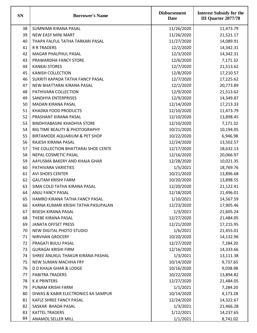| <b>SN</b> | <b>Borrower's Name</b>                   | <b>Disbursement</b><br>Date | <b>Interest Subsidy for the</b><br><b>III Quarter 2077/78</b> |
|-----------|------------------------------------------|-----------------------------|---------------------------------------------------------------|
| 38        | SUMNIMA KIRANA PASAL                     | 11/26/2020                  | 11,473.79                                                     |
| 39        | <b>NEW EASY MINI MART</b>                | 11/26/2020                  | 21,521.17                                                     |
| 40        | THAPA FALFUL TATHA TARKARI PASAL         | 11/27/2020                  | 14,089.91                                                     |
| 41        | <b>R R TRADERS</b>                       | 12/2/2020                   | 14,342.31                                                     |
| 42        | MAGAR PHALPHUL PASAL                     | 12/3/2020                   | 14,342.31                                                     |
| 43        | PRAWARDHA FANCY STORE                    | 12/6/2020                   | 7,171.32                                                      |
| 44        | <b>KANKAI STORES</b>                     | 12/7/2020                   | 21,513.62                                                     |
| 45        | <b>KANISH COLLECTION</b>                 | 12/8/2020                   | 17,210.57                                                     |
| 46        | SUKRITI KAPADA TATHA FANCY PASAL         | 12/7/2020                   | 17,225.62                                                     |
| 47        | NEW BHATTARAI KIRANA PASAL               | 12/2/2020                   | 20,773.89                                                     |
| 48        | PATHIVARA COLLECTION                     | 12/9/2020                   | 21,513.62                                                     |
| 49        | SANDHYA ENTERPRISES                      | 12/9/2020                   | 14,349.87                                                     |
| 50        | <b>MADAN KIRANA PASAL</b>                | 12/14/2020                  | 17,213.33                                                     |
| 51        | <b>KHADKA FOOD PRODUCTS</b>              | 12/10/2020                  | 11,473.79                                                     |
| 52        | PRASHANT KIRANA PASAL                    | 12/10/2020                  | 13,898.45                                                     |
| 53        | <b>BINDHYABASINI KHADHYA STORE</b>       | 12/10/2020                  | 7,171.32                                                      |
| 54        | <b>BIG TIME BEAUTY &amp; PHOTOGRAPHY</b> | 10/21/2020                  | 10,194.05                                                     |
| 55        | BIRTAMODE AQUARIUM & PET SHOP            | 10/22/2020                  | 6,946.98                                                      |
| 56        | RAJESH KIRANA PASAL                      | 12/24/2020                  | 13,502.57                                                     |
| 57        | THE COLLECTION BHATTARAI SHOE CENTE      | 12/17/2020                  | 18,632.13                                                     |
| 58        | NEPAL COSMETIC PASAL                     | 12/16/2020                  | 20,066.97                                                     |
| 59        | AAYUSMA BAKERY AND KHAJA GHAR            | 12/28/2020                  | 10,021.35                                                     |
| 60        | PATHIVARA VARIETIES                      | 1/5/2021                    | 18,769.76                                                     |
| 61        | <b>AVI SHOES CENTER</b>                  | 10/21/2020                  | 13,896.68                                                     |
| 62        | <b>GAUTAM KRISHI FARM</b>                | 10/20/2020                  | 13,898.55                                                     |
| 63        | SIMA COLD TATHA KIRANA PASAL             | 12/20/2020                  | 21,122.41                                                     |
| 64        | ANJU FANCY PASAL                         | 12/18/2020                  | 21,496.01                                                     |
| 65        | HAMRO KIRANA TATHA FANCY PASAL           | 1/10/2021                   | 14,567.59                                                     |
| 66        | KARNA KUMARI KRISHI TATHA PASUPALAN      | 12/23/2020                  | 17,905.46                                                     |
| 67        | <b>BISESH KIRANA PASAL</b>               | 1/3/2021                    | 21,605.24                                                     |
| 68        | THEBE KIRANA PASAL                       | 12/27/2020                  | 21,484.05                                                     |
| 69        | <b>JANATA OFFSET PRESS</b>               | 12/21/2020                  | 17,215.95                                                     |
| 70        | NEW DIGITAL PHOTO STUDIO                 | 1/6/2021                    | 21,455.01                                                     |
| 71        | <b>NIRVHAN GROCERY</b>                   | 10/20/2020                  | 14,132.96                                                     |
| 72        | PRAGATI BIJULI PASAL                     | 12/27/2020                  | 7,284.20                                                      |
| 73        | <b>GURAGAI KRISHI FIRM</b>               | 12/16/2020                  | 14,333.66                                                     |
| 74        | SHREE ANUKUL THAKUR KIRANA PASHAL        | 1/3/2021                    | 13,111.38                                                     |
| 75        | NEW SUMAN MACHHA FRY                     | 10/14/2020                  | 9,737.65                                                      |
| 76        | <b>D D KHAJA GHAR &amp; LODGE</b>        | 10/16/2020                  | 9,038.98                                                      |
| 77        | <b>PABITRA TRADERS</b>                   | 10/22/2020                  | 13,894.82                                                     |
| 78        | <b>K.K PRINTERS</b>                      | 12/27/2020                  | 21,484.05                                                     |
| 79        | PUNAM KRISHI FARM                        | 1/1/2021                    | 7,284.20                                                      |
| 80        | DIWAS & KABIR ELECTRONICS KA SAMPUR      | 10/14/2020                  | 4,173.28                                                      |
| 81        | KAFLE SHREE FANCY PASAL                  | 12/24/2020                  | 14,322.67                                                     |
| 82        | SASKAR BHADA PASAL                       | 1/3/2021                    | 21,466.28                                                     |
| 83        | <b>KATTEL TRADERS</b>                    | 1/12/2021                   | 14,237.65                                                     |
| 84        | ANAMOL SELLER MILL                       | 1/1/2021                    | 8,741.02                                                      |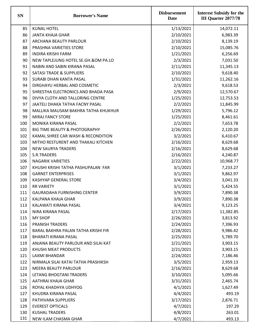| <b>SN</b> | <b>Borrower's Name</b>                   | <b>Disbursement</b><br><b>Date</b> | <b>Interest Subsidy for the</b><br><b>III Quarter 2077/78</b> |
|-----------|------------------------------------------|------------------------------------|---------------------------------------------------------------|
| 85        | <b>KUNAL HOTEL</b>                       | 1/13/2021                          | 14,072.11                                                     |
| 86        | <b>JANTA KHAJA GHAR</b>                  | 2/10/2021                          | 6,983.39                                                      |
| 87        | ARCHANA BEAUTY PARLOUR                   | 2/10/2021                          | 8,139.19                                                      |
| 88        | PRASHNA VARIETIES STORE                  | 2/10/2021                          | 15,085.76                                                     |
| 89        | <b>INDIRA KRISHI FARM</b>                | 1/21/2021                          | 6,256.69                                                      |
| 90        | NEW TAPLEJUNG HOTEL SE.GH.&OM PA.LO      | 2/3/2021                           | 7,031.50                                                      |
| 91        | NABIN AND SABIN KIRANA PASAL             | 2/11/2021                          | 11,345.13                                                     |
| 92        | <b>SATASI TRADE &amp; SUPPLIERS</b>      | 2/10/2021                          | 9,618.40                                                      |
| 93        | SURABI DHAN KANTA PASAL                  | 1/31/2021                          | 11,262.16                                                     |
| 94        | DIRGHAYU HERBAL AND COSMETIC             | 2/3/2021                           | 9,618.53                                                      |
| 95        | SHRESTHA ELECTRONICS AND BHADA PASA      | 2/9/2021                           | 12,570.67                                                     |
| 96        | DIVYA CLOTH AND TALLORING CENTRE         | 1/25/2021                          | 12,753.53                                                     |
| 97        | JAATELI DHAKA TATHA FACNY PASAL          | 2/2/2021                           | 11,845.99                                                     |
| 98        | MALLIKA MAUSAM BAKHRA TATHA KHUKHUR      | 1/29/2021                          | 5,796.12                                                      |
| 99        | <b>MIRAJ FANCY STORE</b>                 | 1/25/2021                          | 8,461.61                                                      |
| 100       | MONIKA KIRANA PASAL                      | 2/2/2021                           | 7,653.78                                                      |
| 101       | <b>BIG TIME BEAUTY &amp; PHOTOGRAPHY</b> | 2/26/2021                          | 2,120.20                                                      |
| 102       | KAMAL SHREE CAR WASH & RECONDITION       | 3/2/2021                           | 6,410.67                                                      |
| 103       | MITHO RESTURENT AND THAKALI KITCHEN      | 2/16/2021                          | 8,629.68                                                      |
| 104       | <b>NEW SAURYA TRADERS</b>                | 2/16/2021                          | 8,629.68                                                      |
| 105       | S.R.TRADERS                              | 2/16/2021                          | 4,240.87                                                      |
| 106       | <b>NAGARIK VARIETIES</b>                 | 2/22/2021                          | 10,968.77                                                     |
| 107       | KHUSHI KRISHI TATHA PASHUPALAN FAR       | 3/1/2021                           | 7,233.27                                                      |
| 108       | <b>GARNET ENTERPRISES</b>                | 3/1/2021                           | 9,862.97                                                      |
| 109       | <b>KASHYAP GENERAL STORE</b>             | 3/4/2021                           | 3,041.33                                                      |
| 110       | <b>RR VARIETY</b>                        | 3/1/2021                           | 5,424.55                                                      |
| 111       | <b>GAURADAHA FURNISHING CENTER</b>       | 3/9/2021                           | 7,890.38                                                      |
| 112       | KALPANA KHAJA GHAR                       | 3/9/2021                           | 7,890.38                                                      |
| 113       | KALAWATI KIRANA PASAL                    | 3/4/2021                           | 9,123.25                                                      |
| 114       | NIRA KIRANA PASAL                        | 2/17/2021                          | 11,382.85                                                     |
| 115       | <b>MY SHOP</b>                           | 2/26/2021                          | 3,813.92                                                      |
| 116       | <b>PRANISH TRADERS</b>                   | 2/24/2021                          | 7,396.93                                                      |
| 117       | BARAL BAKHRA PALAN TATHA KRISHI FIR      | 2/28/2021                          | 9,986.42                                                      |
| 118       | <b>BHARATI KIRANA PASAL</b>              | 2/25/2021                          | 5,789.70                                                      |
| 119       | ANJANA BEAUTY PARLOUR AND SILAI KAT      | 2/21/2021                          | 3,903.15                                                      |
| 120       | KHUSHI MEAT PRODUCTS                     | 2/21/2021                          | 3,903.15                                                      |
| 121       | LAXMI BHANDAR                            | 2/24/2021                          | 7,186.46                                                      |
| 122       | NIRMALA SILAI KATAI TATHA PRASHIKSH      | 3/5/2021                           | 2,959.13                                                      |
| 123       | <b>MEERA BEAUTY PARLOUR</b>              | 2/16/2021                          | 8,629.68                                                      |
| 124       | LETANG BHOGTANI TRADERS                  | 3/10/2021                          | 5,095.66                                                      |
| 125       | AATHRAI KHAJA GHAR                       | 3/31/2021                          | 2,465.74                                                      |
| 126       | ROYAL KHADHYA UDHYOG                     | 4/1/2021                           | 1,627.49                                                      |
| 127       | KHUDRA KIRANA PASAL                      | 4/4/2021                           | 493.19                                                        |
| 128       | PATHIVARA SUPPLIERS                      | 3/17/2021                          | 2,876.71                                                      |
| 129       | <b>EVEREST OPTICALS</b>                  | 4/7/2021                           | 197.29                                                        |
| 130       | <b>KUSHAL TRADERS</b>                    | 4/8/2021                           | 263.01                                                        |
| 131       | NEW ILAM CHASMA GHAR                     | 4/7/2021                           | 493.13                                                        |